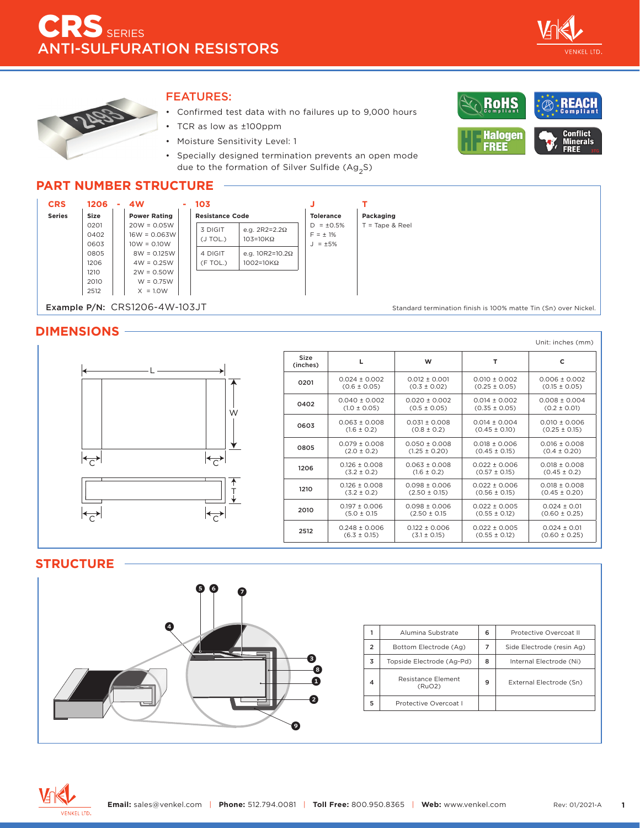



### FEATURES:

- Confirmed test data with no failures up to 9,000 hours
- TCR as low as ±100ppm
- Moisture Sensitivity Level: 1
- Specially designed termination prevents an open mode due to the formation of Silver Sulfide (Ag<sub>2</sub>S)



## **PART NUMBER STRUCTURE**



#### **DIMENSIONS**



|                  |                   |                   |                   | Unit: inches (mm) |
|------------------|-------------------|-------------------|-------------------|-------------------|
| Size<br>(inches) | ц                 | W                 | т                 | c                 |
| 0201             | $0.024 + 0.002$   | $0.012 + 0.001$   | $0.010 + 0.002$   | $0.006 + 0.002$   |
|                  | $(0.6 \pm 0.05)$  | $(0.3 \pm 0.02)$  | $(0.25 \pm 0.05)$ | $(0.15 \pm 0.05)$ |
| 0402             | $0.040 \pm 0.002$ | $0.020 + 0.002$   | $0.014 + 0.002$   | $0.008 \pm 0.004$ |
|                  | $(1.0 \pm 0.05)$  | $(0.5 \pm 0.05)$  | $(0.35 \pm 0.05)$ | $(0.2 \pm 0.01)$  |
| 0603             | $0.063 \pm 0.008$ | $0.031 + 0.008$   | $0.014 + 0.004$   | $0.010 + 0.006$   |
|                  | $(1.6 \pm 0.2)$   | $(0.8 \pm 0.2)$   | $(0.45 \pm 0.10)$ | $(0.25 \pm 0.15)$ |
| 0805             | $0.079 + 0.008$   | $0.050 + 0.008$   | $0.018 + 0.006$   | $0.016 + 0.008$   |
|                  | $(2.0 \pm 0.2)$   | $(1.25 \pm 0.20)$ | $(0.45 \pm 0.15)$ | $(0.4 \pm 0.20)$  |
| 1206             | $0.126 \pm 0.008$ | $0.063 + 0.008$   | $0.022 + 0.006$   | $0.018 + 0.008$   |
|                  | $(3.2 \pm 0.2)$   | $(1.6 \pm 0.2)$   | $(0.57 \pm 0.15)$ | $(0.45 \pm 0.2)$  |
| 1210             | $0.126 + 0.008$   | $0.098 + 0.006$   | $0.022 + 0.006$   | $0.018 + 0.008$   |
|                  | $(3.2 \pm 0.2)$   | $(2.50 \pm 0.15)$ | $(0.56 \pm 0.15)$ | $(0.45 \pm 0.20)$ |
| 2010             | $0.197 + 0.006$   | $0.098 + 0.006$   | $0.022 + 0.005$   | $0.024 + 0.01$    |
|                  | $(5.0 \pm 0.15)$  | $(2.50 \pm 0.15)$ | $(0.55 \pm 0.12)$ | $(0.60 \pm 0.25)$ |
| 2512             | $0.248 + 0.006$   | $0.122 + 0.006$   | $0.022 + 0.005$   | $0.024 + 0.01$    |
|                  | $(6.3 \pm 0.15)$  | $(3.1 \pm 0.15)$  | $(0.55 \pm 0.12)$ | $(0.60 \pm 0.25)$ |

#### **STRUCTURE**



|                | Alumina Substrate            | 6 | Protective Overcoat II    |
|----------------|------------------------------|---|---------------------------|
| $\overline{2}$ | Bottom Electrode (Ag)        | 7 | Side Electrode (resin Ag) |
| 3              | Topside Electrode (Ag-Pd)    | 8 | Internal Electrode (Ni)   |
| 4              | Resistance Element<br>(RuO2) | 9 | External Electrode (Sn)   |
| 5              | Protective Overcoat I        |   |                           |
|                |                              |   |                           |

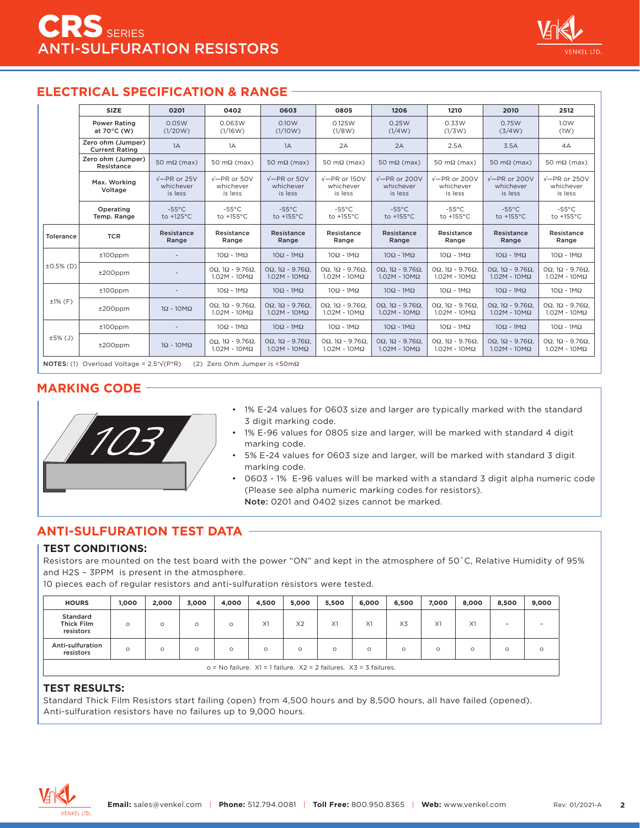## **ELECTRICAL SPECIFICATION & RANGE**

|              | SIZE                                         | 0201                                        | 0402                                                            | 0603                                      | 0805                                                            | 1206                                                           | 1210                                                            | 2010                                         | 2512                                                            |
|--------------|----------------------------------------------|---------------------------------------------|-----------------------------------------------------------------|-------------------------------------------|-----------------------------------------------------------------|----------------------------------------------------------------|-----------------------------------------------------------------|----------------------------------------------|-----------------------------------------------------------------|
|              | <b>Power Rating</b><br>at $70^{\circ}$ C (W) | 0.05W<br>(1/20W)                            | 0.063W<br>(1/16W)                                               | 0.10W<br>(1/10W)                          | 0.125W<br>(1/8W)                                                | 0.25W<br>(1/4W)                                                | 0.33W<br>(1/3W)                                                 | 0.75W<br>(3/4W)                              | 1.0W<br>(1W)                                                    |
|              | Zero ohm (Jumper)<br><b>Current Rating</b>   | 1A                                          | 1A                                                              | 1A                                        | 2A                                                              | 2A                                                             | 2.5A                                                            | 3.5A                                         | 4A                                                              |
|              | Zero ohm (Jumper)<br>Resistance              | $50 \text{ m}\Omega \text{ (max)}$          | 50 m $\Omega$ (max)                                             | 50 m $\Omega$ (max)                       | 50 m $\Omega$ (max)                                             | 50 m $\Omega$ (max)                                            | 50 m $\Omega$ (max)                                             | 50 m $\Omega$ (max)                          | 50 m $\Omega$ (max)                                             |
|              | Max. Working<br>Voltage                      | $\sqrt{-PR}$ or 25V<br>whichever<br>is less | $\sqrt{-PR}$ or 50V<br>whichever<br>is less                     | $V-PR$ or 50V<br>whichever<br>is less     | $\sqrt{-PR}$ or 150V<br>whichever<br>is less                    | $\sqrt{-PR}$ or 200V<br>whichever<br>is less                   | $V$ –PR or 200V<br>whichever<br>is less                         | $\sqrt{-PR}$ or 200V<br>whichever<br>is less | $\sqrt{-PR}$ or 250V<br>whichever<br>is less                    |
|              | Operating<br>Temp. Range                     | $-55^{\circ}$ C<br>to +125°C                | $-55^{\circ}$ C<br>to +155°C                                    | $-55^{\circ}$ C<br>to +155°C              | $-55^{\circ}$ C<br>to +155°C                                    | $-55^{\circ}$ C<br>to +155°C                                   | $-55^{\circ}$ C<br>to +155°C                                    | $-55^{\circ}$ C<br>to +155°C                 | $-55^{\circ}$ C<br>to $+155^{\circ}$ C                          |
| Tolerance    | <b>TCR</b>                                   | Resistance<br>Range                         | Resistance<br>Range                                             | Resistance<br>Range                       | Resistance<br>Range                                             | Resistance<br>Range                                            | Resistance<br>Range                                             | Resistance<br>Range                          | Resistance<br>Range                                             |
|              | $±100$ ppm                                   |                                             | $10\Omega - 1M\Omega$                                           | $10\Omega - 1M\Omega$                     | $10\Omega - 1M\Omega$                                           | $10\Omega - 1M\Omega$                                          | $10\Omega - 1M\Omega$                                           | $10\Omega - 1M\Omega$                        | $10\Omega - 1M\Omega$                                           |
| $±0.5\%$ (D) | $±200$ ppm                                   |                                             | $O\Omega$ . 1 $\Omega$ - 9.76 $\Omega$ .<br>$1.02M - 10M\Omega$ | $OΩ$ . 1Ω - 9.76Ω.<br>$1.02M - 10M\Omega$ | $O\Omega$ . 1 $\Omega$ - 9.76 $\Omega$ .<br>$1.02M - 10M\Omega$ | $OΩ$ , 1Ω - 9.76Ω.<br>$1.02M - 10M\Omega$                      | $O\Omega$ , $1\Omega$ - 9.76 $\Omega$ .<br>$1.02M - 10M\Omega$  | $OΩ$ , 1Ω - 9.76Ω.<br>$1.02M - 10M\Omega$    | $O\Omega$ . 1 $\Omega$ - 9.76 $\Omega$ .<br>$1.02M - 10M\Omega$ |
|              | $±100$ ppm                                   |                                             | $10\Omega - 1M\Omega$                                           | $10\Omega - 1M\Omega$                     | $10\Omega - 1M\Omega$                                           | $10\Omega - 1M\Omega$                                          | $10\Omega - 1M\Omega$                                           | $10\Omega - 1M\Omega$                        | $10\Omega - 1M\Omega$                                           |
| $±1%$ (F)    | $±200$ ppm                                   | $1\Omega - 10M\Omega$                       | $O\Omega$ . 1 $\Omega$ - 9.76 $\Omega$ .<br>$1.02M - 10M\Omega$ | $OΩ$ . 1Ω - 9.76Ω.<br>$1.02M - 10M\Omega$ | $O\Omega$ . 1 $\Omega$ - 9.76 $\Omega$ .<br>$1.02M - 10M\Omega$ | $O\Omega$ , $1\Omega$ - 9.76 $\Omega$ .<br>$1.02M - 10M\Omega$ | $O\Omega$ . 1 $\Omega$ - 9.76 $\Omega$ .<br>$1.02M - 10M\Omega$ | $OΩ$ , 1Ω - 9.76Ω.<br>$1.02M - 10M\Omega$    | $O\Omega$ . 1 $\Omega$ - 9.76 $\Omega$ .<br>$1.02M - 10M\Omega$ |
|              | $±100$ ppm                                   | $\overline{\phantom{a}}$                    | $10\Omega - 1M\Omega$                                           | $10\Omega - 1M\Omega$                     | $10\Omega - 1M\Omega$                                           | $10\Omega - 1M\Omega$                                          | $10\Omega - 1M\Omega$                                           | $10\Omega - 1M\Omega$                        | $10\Omega - 1M\Omega$                                           |
| ±5% (J)      | $±200$ ppm                                   | $1\Omega - 10M\Omega$                       | $OΩ$ , 1Ω - 9.76Ω,<br>$1.02M - 10M\Omega$                       | $ΩΩ$ . 1Ω - 9.76Ω.<br>$1.02M - 10M\Omega$ | $O\Omega$ . 1 $\Omega$ - 9.76 $\Omega$ .<br>$1.02M - 10M\Omega$ | OΩ, $1\Omega$ - 9.76Ω,<br>$1.02M - 10M\Omega$                  | $ΩΩ$ . 1Ω - 9.76Ω.<br>$1.02M - 10M\Omega$                       | $Ω$ Ω, 1Ω - 9.76Ω.<br>$1.02M - 10M\Omega$    | $OΩ$ , 1Ω - 9.76Ω,<br>$1.02M - 10M\Omega$                       |

NOTES: (1) Overload Voltage = 2.5\*√(P\*R). (2) Zero Ohm Jumper is <50mΩ

## **MARKING CODE**



- 1% E-24 values for 0603 size and larger are typically marked with the standard 3 digit marking code.
- 1% E-96 values for 0805 size and larger, will be marked with standard 4 digit marking code.
- 5% E-24 values for 0603 size and larger, will be marked with standard 3 digit marking code.
- 0603 1% E-96 values will be marked with a standard 3 digit alpha numeric code (Please see alpha numeric marking codes for resistors). Note: 0201 and 0402 sizes cannot be marked.

## **ANTI-SULFURATION TEST DATA**

#### **TEST CONDITIONS:**

Resistors are mounted on the test board with the power "ON" and kept in the atmosphere of 50˚C, Relative Humidity of 95% and H2S – 3PPM is present in the atmosphere.

10 pieces each of regular resistors and anti-sulfuration resistors were tested.

| <b>HOURS</b>                                                              | 1.000   | 2,000   | 3.000   | 4,000   | 4.500   | 5,000          | 5.500   | 6,000    | 6.500          | 7,000   | 8.000    | 8,500    | 9,000                    |
|---------------------------------------------------------------------------|---------|---------|---------|---------|---------|----------------|---------|----------|----------------|---------|----------|----------|--------------------------|
| Standard<br><b>Thick Film</b><br>resistors                                | $\circ$ | $\circ$ | $\circ$ | $\circ$ | X1      | X <sub>2</sub> | X1      | X1       | X <sub>3</sub> | X1      | X1       | $\,$     | $\overline{\phantom{a}}$ |
| Anti-sulfuration<br>resistors                                             | O       | $\circ$ | $\circ$ | $\circ$ | $\circ$ | $\circ$        | $\circ$ | $\Omega$ | $\circ$        | $\circ$ | $\Omega$ | $\Omega$ |                          |
| $o = No$ failure. $X1 = 1$ failure. $X2 = 2$ failures. $X3 = 3$ failures. |         |         |         |         |         |                |         |          |                |         |          |          |                          |

#### **TEST RESULTS:**

Standard Thick Film Resistors start failing (open) from 4,500 hours and by 8,500 hours, all have failed (opened). Anti-sulfuration resistors have no failures up to 9,000 hours.

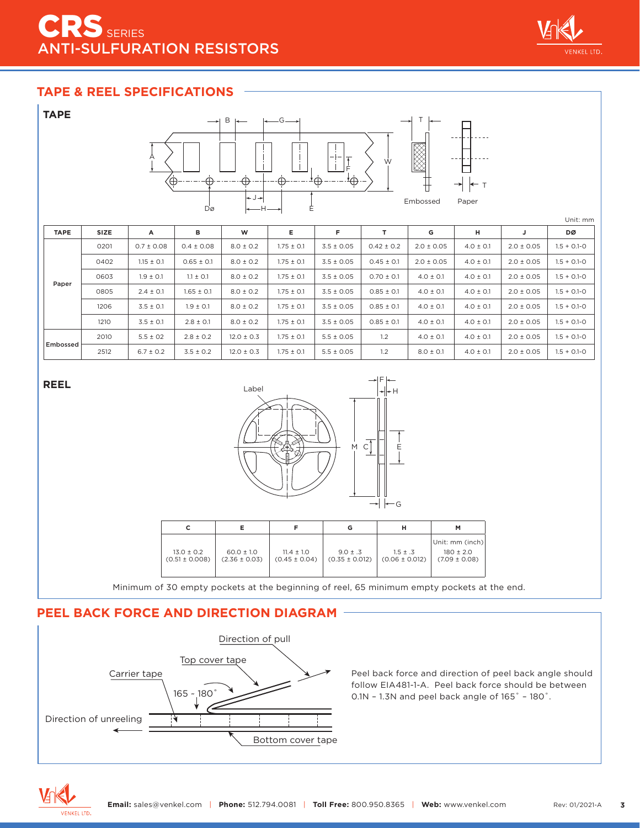# RS SERIES **TI-SULFURATION RESISTORS**



## **TAPE & REEL SPECIFICATIONS**

| <b>TAPE</b><br>B<br>$-G-$<br>X<br>А<br>Ŵ<br>$\overline{\bigoplus}$<br>$\overrightarrow{A} \overrightarrow{\bigoplus}$ –<br>∙ф−<br>⊕<br>∗ф —<br>∕⊕<br>$\rightarrow$ $\leftarrow$ T<br>$+J+$<br>Embossed<br>Paper<br>Ė<br>Dø<br>—н— |      |                |                |                |                |                |                |                |               |                |                 |
|-----------------------------------------------------------------------------------------------------------------------------------------------------------------------------------------------------------------------------------|------|----------------|----------------|----------------|----------------|----------------|----------------|----------------|---------------|----------------|-----------------|
| <b>TAPE</b>                                                                                                                                                                                                                       | SIZE | A              | в              | W              | E.             | F              | $\mathsf{T}$   | G              | н             | J              | Unit: mm<br>DØ  |
|                                                                                                                                                                                                                                   | 0201 | $0.7 \pm 0.08$ | $0.4 \pm 0.08$ | $8.0 \pm 0.2$  | $1.75 \pm 0.1$ | $3.5 \pm 0.05$ | $0.42 \pm 0.2$ | $2.0 \pm 0.05$ | $4.0 \pm 0.1$ | $2.0 \pm 0.05$ | $1.5 + 0.1 - 0$ |
|                                                                                                                                                                                                                                   | 0402 | $1.15 \pm 0.1$ | $0.65 \pm 0.1$ | $8.0 \pm 0.2$  | $1.75 \pm 0.1$ | $3.5 \pm 0.05$ | $0.45 \pm 0.1$ | $2.0 \pm 0.05$ | $4.0 \pm 0.1$ | $2.0 \pm 0.05$ | $1.5 + 0.1 - 0$ |
|                                                                                                                                                                                                                                   | 0603 | $1.9 \pm 0.1$  | $1.1 \pm 0.1$  | $8.0 \pm 0.2$  | $1.75 \pm 0.1$ | $3.5 \pm 0.05$ | $0.70 \pm 0.1$ | $4.0 \pm 0.1$  | $4.0 \pm 0.1$ | $2.0 \pm 0.05$ | $1.5 + 0.1 - 0$ |
| Paper                                                                                                                                                                                                                             | 0805 | $2.4 \pm 0.1$  | $1.65 \pm 0.1$ | $8.0 \pm 0.2$  | $1.75 \pm 0.1$ | $3.5 \pm 0.05$ | $0.85 \pm 0.1$ | $4.0 \pm 0.1$  | $4.0 \pm 0.1$ | $2.0 \pm 0.05$ | $1.5 + 0.1 - 0$ |
|                                                                                                                                                                                                                                   | 1206 | $3.5 \pm 0.1$  | $1.9 \pm 0.1$  | $8.0 \pm 0.2$  | $1.75 \pm 0.1$ | $3.5 \pm 0.05$ | $0.85 \pm 0.1$ | $4.0 \pm 0.1$  | $4.0 \pm 0.1$ | $2.0 \pm 0.05$ | $1.5 + 0.1 - 0$ |
|                                                                                                                                                                                                                                   | 1210 | $3.5 \pm 0.1$  | $2.8 \pm 0.1$  | $8.0 \pm 0.2$  | $1.75 \pm 0.1$ | $3.5 \pm 0.05$ | $0.85 \pm 0.1$ | $4.0 \pm 0.1$  | $4.0 \pm 0.1$ | $2.0 \pm 0.05$ | $1.5 + 0.1 - 0$ |
| Embossed                                                                                                                                                                                                                          | 2010 | $5.5 \pm 02$   | $2.8 \pm 0.2$  | $12.0 \pm 0.3$ | $1.75 \pm 0.1$ | $5.5 \pm 0.05$ | 1.2            | $4.0 \pm 0.1$  | $4.0 \pm 0.1$ | $2.0 \pm 0.05$ | $1.5 + 0.1 - 0$ |
|                                                                                                                                                                                                                                   | 2512 | $6.7 \pm 0.2$  | $3.5 \pm 0.2$  | $12.0 \pm 0.3$ | $1.75 \pm 0.1$ | $5.5 \pm 0.05$ | 1.2            | $8.0 \pm 0.1$  | $4.0 \pm 0.1$ | $2.0 \pm 0.05$ | $1.5 + 0.1 - 0$ |

**REEL**



|                                      |                                     |                                     | G                                  | н                                  | м                                                      |
|--------------------------------------|-------------------------------------|-------------------------------------|------------------------------------|------------------------------------|--------------------------------------------------------|
| $13.0 \pm 0.2$<br>$(0.51 \pm 0.008)$ | $60.0 \pm 1.0$<br>$(2.36 \pm 0.03)$ | $11.4 \pm 1.0$<br>$(0.45 \pm 0.04)$ | $9.0 \pm .3$<br>$(0.35 \pm 0.012)$ | $1.5 \pm .3$<br>$(0.06 \pm 0.012)$ | Unit: mm (inch) <br>$180 \pm 2.0$<br>$(7.09 \pm 0.08)$ |

Minimum of 30 empty pockets at the beginning of reel, 65 minimum empty pockets at the end.

## **PEEL BACK FORCE AND DIRECTION DIAGRAM**



Peel back force and direction of peel back angle should follow EIA481-1-A. Peel back force should be between 0.1N – 1.3N and peel back angle of 165˚ – 180˚.